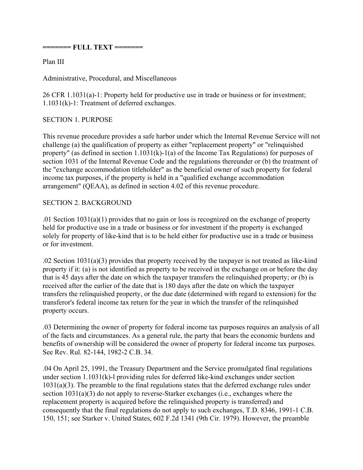**======= FULL TEXT =======** 

Plan III

Administrative, Procedural, and Miscellaneous

26 CFR 1.1031(a)-1: Property held for productive use in trade or business or for investment; 1.1031(k)-1: Treatment of deferred exchanges.

## SECTION 1. PURPOSE

This revenue procedure provides a safe harbor under which the Internal Revenue Service will not challenge (a) the qualification of property as either "replacement property" or "relinquished property" (as defined in section 1.1031(k)-1(a) of the Income Tax Regulations) for purposes of section 1031 of the Internal Revenue Code and the regulations thereunder or (b) the treatment of the "exchange accommodation titleholder" as the beneficial owner of such property for federal income tax purposes, if the property is held in a "qualified exchange accommodation arrangement" (QEAA), as defined in section 4.02 of this revenue procedure.

## SECTION 2. BACKGROUND

.01 Section 1031(a)(1) provides that no gain or loss is recognized on the exchange of property held for productive use in a trade or business or for investment if the property is exchanged solely for property of like-kind that is to be held either for productive use in a trade or business or for investment.

.02 Section 1031(a)(3) provides that property received by the taxpayer is not treated as like-kind property if it: (a) is not identified as property to be received in the exchange on or before the day that is 45 days after the date on which the taxpayer transfers the relinquished property; or (b) is received after the earlier of the date that is 180 days after the date on which the taxpayer transfers the relinquished property, or the due date (determined with regard to extension) for the transferor's federal income tax return for the year in which the transfer of the relinquished property occurs.

.03 Determining the owner of property for federal income tax purposes requires an analysis of all of the facts and circumstances. As a general rule, the party that bears the economic burdens and benefits of ownership will be considered the owner of property for federal income tax purposes. See Rev. Rul. 82-144, 1982-2 C.B. 34.

.04 On April 25, 1991, the Treasury Department and the Service promulgated final regulations under section 1.1031(k)-l providing rules for deferred like-kind exchanges under section 1031(a)(3). The preamble to the final regulations states that the deferred exchange rules under section 1031(a)(3) do not apply to reverse-Starker exchanges (i.e., exchanges where the replacement property is acquired before the relinquished property is transferred) and consequently that the final regulations do not apply to such exchanges, T.D. 8346, 1991-1 C.B. 150, 151; see Starker v. United States, 602 F.2d 1341 (9th Cir. 1979). However, the preamble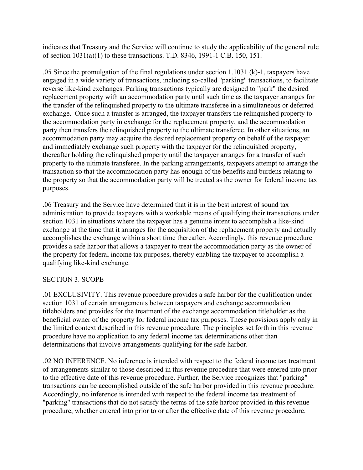indicates that Treasury and the Service will continue to study the applicability of the general rule of section 1031(a)(1) to these transactions. T.D. 8346, 1991-1 C.B. 150, 151.

.05 Since the promulgation of the final regulations under section 1.1031 (k)-1, taxpayers have engaged in a wide variety of transactions, including so-called "parking" transactions, to facilitate reverse like-kind exchanges. Parking transactions typically are designed to "park" the desired replacement property with an accommodation party until such time as the taxpayer arranges for the transfer of the relinquished property to the ultimate transferee in a simultaneous or deferred exchange. Once such a transfer is arranged, the taxpayer transfers the relinquished property to the accommodation party in exchange for the replacement property, and the accommodation party then transfers the relinquished property to the ultimate transferee. In other situations, an accommodation party may acquire the desired replacement property on behalf of the taxpayer and immediately exchange such property with the taxpayer for the relinquished property, thereafter holding the relinquished property until the taxpayer arranges for a transfer of such property to the ultimate transferee. In the parking arrangements, taxpayers attempt to arrange the transaction so that the accommodation party has enough of the benefits and burdens relating to the property so that the accommodation party will be treated as the owner for federal income tax purposes.

.06 Treasury and the Service have determined that it is in the best interest of sound tax administration to provide taxpayers with a workable means of qualifying their transactions under section 1031 in situations where the taxpayer has a genuine intent to accomplish a like-kind exchange at the time that it arranges for the acquisition of the replacement property and actually accomplishes the exchange within a short time thereafter. Accordingly, this revenue procedure provides a safe harbor that allows a taxpayer to treat the accommodation party as the owner of the property for federal income tax purposes, thereby enabling the taxpayer to accomplish a qualifying like-kind exchange.

# SECTION 3. SCOPE

.01 EXCLUSIVITY. This revenue procedure provides a safe harbor for the qualification under section 1031 of certain arrangements between taxpayers and exchange accommodation titleholders and provides for the treatment of the exchange accommodation titleholder as the beneficial owner of the property for federal income tax purposes. These provisions apply only in the limited context described in this revenue procedure. The principles set forth in this revenue procedure have no application to any federal income tax determinations other than determinations that involve arrangements qualifying for the safe harbor.

.02 NO INFERENCE. No inference is intended with respect to the federal income tax treatment of arrangements similar to those described in this revenue procedure that were entered into prior to the effective date of this revenue procedure. Further, the Service recognizes that "parking" transactions can be accomplished outside of the safe harbor provided in this revenue procedure. Accordingly, no inference is intended with respect to the federal income tax treatment of "parking" transactions that do not satisfy the terms of the safe harbor provided in this revenue procedure, whether entered into prior to or after the effective date of this revenue procedure.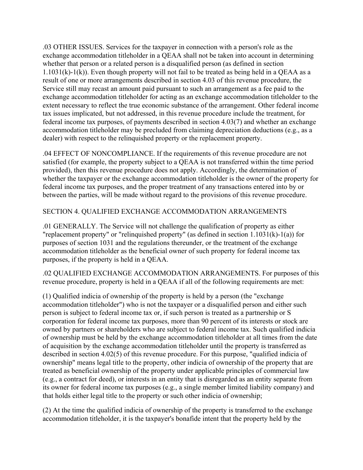.03 OTHER ISSUES. Services for the taxpayer in connection with a person's role as the exchange accommodation titleholder in a QEAA shall not be taken into account in determining whether that person or a related person is a disqualified person (as defined in section  $1.1031(k)-1(k)$ ). Even though property will not fail to be treated as being held in a QEAA as a result of one or more arrangements described in section 4.03 of this revenue procedure, the Service still may recast an amount paid pursuant to such an arrangement as a fee paid to the exchange accommodation titleholder for acting as an exchange accommodation titleholder to the extent necessary to reflect the true economic substance of the arrangement. Other federal income tax issues implicated, but not addressed, in this revenue procedure include the treatment, for federal income tax purposes, of payments described in section 4.03(7) and whether an exchange accommodation titleholder may be precluded from claiming depreciation deductions (e.g., as a dealer) with respect to the relinquished property or the replacement property.

.04 EFFECT OF NONCOMPLIANCE. If the requirements of this revenue procedure are not satisfied (for example, the property subject to a QEAA is not transferred within the time period provided), then this revenue procedure does not apply. Accordingly, the determination of whether the taxpayer or the exchange accommodation titleholder is the owner of the property for federal income tax purposes, and the proper treatment of any transactions entered into by or between the parties, will be made without regard to the provisions of this revenue procedure.

## SECTION 4. QUALIFIED EXCHANGE ACCOMMODATION ARRANGEMENTS

.01 GENERALLY. The Service will not challenge the qualification of property as either "replacement property" or "relinquished property" (as defined in section 1.1031(k)-1(a)) for purposes of section 1031 and the regulations thereunder, or the treatment of the exchange accommodation titleholder as the beneficial owner of such property for federal income tax purposes, if the property is held in a QEAA.

.02 QUALIFIED EXCHANGE ACCOMMODATION ARRANGEMENTS. For purposes of this revenue procedure, property is held in a QEAA if all of the following requirements are met:

(1) Qualified indicia of ownership of the property is held by a person (the "exchange accommodation titleholder") who is not the taxpayer or a disqualified person and either such person is subject to federal income tax or, if such person is treated as a partnership or S corporation for federal income tax purposes, more than 90 percent of its interests or stock are owned by partners or shareholders who are subject to federal income tax. Such qualified indicia of ownership must be held by the exchange accommodation titleholder at all times from the date of acquisition by the exchange accommodation titleholder until the property is transferred as described in section 4.02(5) of this revenue procedure. For this purpose, "qualified indicia of ownership" means legal title to the property, other indicia of ownership of the property that are treated as beneficial ownership of the property under applicable principles of commercial law (e.g., a contract for deed), or interests in an entity that is disregarded as an entity separate from its owner for federal income tax purposes (e.g., a single member limited liability company) and that holds either legal title to the property or such other indicia of ownership;

(2) At the time the qualified indicia of ownership of the property is transferred to the exchange accommodation titleholder, it is the taxpayer's bonafide intent that the property held by the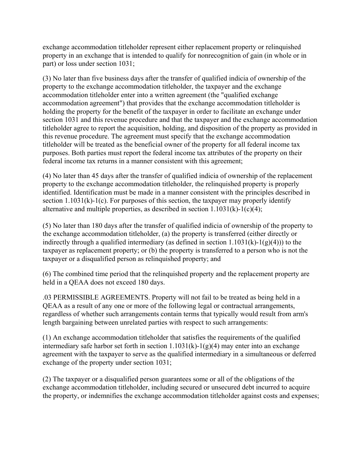exchange accommodation titleholder represent either replacement property or relinquished property in an exchange that is intended to qualify for nonrecognition of gain (in whole or in part) or loss under section 1031;  $\overline{a}$ 

(3) No later than five business days after the transfer of qualified indicia of ownership of the property to the exchange accommodation titleholder, the taxpayer and the exchange accommodation titleholder enter into a written agreement (the "qualified exchange accommodation agreement") that provides that the exchange accommodation titleholder is holding the property for the benefit of the taxpayer in order to facilitate an exchange under section 1031 and this revenue procedure and that the taxpayer and the exchange accommodation titleholder agree to report the acquisition, holding, and disposition of the property as provided in this revenue procedure. The agreement must specify that the exchange accommodation titleholder will be treated as the beneficial owner of the property for all federal income tax purposes. Both parties must report the federal income tax attributes of the property on their federal income tax returns in a manner consistent with this agreement;

(4) No later than 45 days after the transfer of qualified indicia of ownership of the replacement property to the exchange accommodation titleholder, the relinquished property is properly identified. Identification must be made in a manner consistent with the principles described in section  $1.1031(k)-1(c)$ . For purposes of this section, the taxpayer may properly identify alternative and multiple properties, as described in section  $1.1031(k)-1(c)(4)$ ;

(5) No later than 180 days after the transfer of qualified indicia of ownership of the property to the exchange accommodation titleholder, (a) the property is transferred (either directly or indirectly through a qualified intermediary (as defined in section  $1.1031(k)-1(g)(4)$ )) to the taxpayer as replacement property; or (b) the property is transferred to a person who is not the taxpayer or a disqualified person as relinquished property; and

(6) The combined time period that the relinquished property and the replacement property are held in a QEAA does not exceed 180 days.

.03 PERMISSIBLE AGREEMENTS. Property will not fail to be treated as being held in a QEAA as a result of any one or more of the following legal or contractual arrangements, regardless of whether such arrangements contain terms that typically would result from arm's length bargaining between unrelated parties with respect to such arrangements:

(1) An exchange accommodation titleholder that satisfies the requirements of the qualified intermediary safe harbor set forth in section  $1.1031(k)-1(g)(4)$  may enter into an exchange agreement with the taxpayer to serve as the qualified intermediary in a simultaneous or deferred exchange of the property under section 1031;

(2) The taxpayer or a disqualified person guarantees some or all of the obligations of the exchange accommodation titleholder, including secured or unsecured debt incurred to acquire the property, or indemnifies the exchange accommodation titleholder against costs and expenses;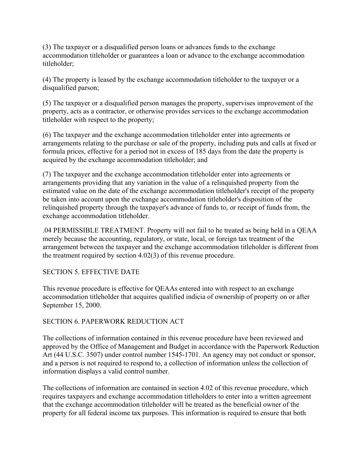(3) The taxpayer or a disqualified person loans or advances funds to the exchange accommodation titleholder or guarantees a loan or advance to the exchange accommodation titleholder;

(4) The property is leased by the exchange accommodation titleholder to the taxpayer or a disqualified parson;

(5) The taxpayer or a disqualified person manages the property, supervises improvement of the property, acts as a contractor, or otherwise provides services to the exchange accommodation titleholder with respect to the property;

(6) The taxpayer and the exchange accommodation titleholder enter into agreements or arrangements relating to the purchase or sale of the property, including puts and calls at fixed or formula prices, effective for a period not in excess of 185 days from the date the property is acquired by the exchange accommodation titleholder; and

(7) The taxpayer and the exchange accommodation titleholder enter into agreements or arrangements providing that any variation in the value of a relinquished property from the estimated value on the date of the exchange accommodation titleholder's receipt of the property be taken into account upon the exchange accommodation titleholder's disposition of the relinquished property through the taxpayer's advance of funds to, or receipt of funds from, the exchange accommodation titleholder.

.04 PERMISSIBLE TREATMENT. Property will not fail to he treated as being held in a QEAA merely because the accounting, regulatory, or state, local, or foreign tax treatment of the arrangement between the taxpayer and the exchange accommodation titleholder is different from the treatment required by section 4.02(3) of this revenue procedure.

# SECTION 5. EFFECTIVE DATE

This revenue procedure is effective for QEAAs entered into with respect to an exchange accommodation titleholder that acquires qualified indicia of ownership of property on or after September 15, 2000.

# SECTION 6. PAPERWORK REDUCTION ACT

The collections of information contained in this revenue procedure have been reviewed and approved by the Office of Management and Budget in accordance with the Paperwork Reduction Art (44 U.S.C. 3507) under control number 1545-1701. An agency may not conduct or sponsor, and a person is not required to respond to, a collection of information unless the collection of information displays a valid control number.

The collections of information are contained in section 4.02 of this revenue procedure, which requires taxpayers and exchange accommodation titleholders to enter into a written agreement that the exchange accommodation titleholder will be treated as the beneficial owner of the property for all federal income tax purposes. This information is required to ensure that both